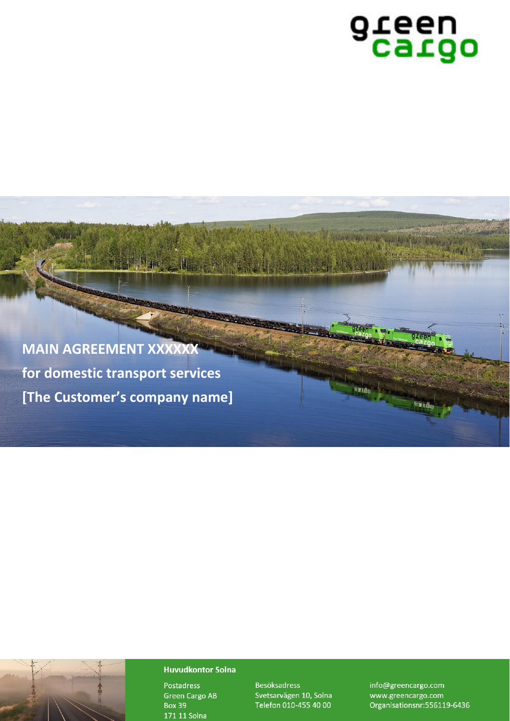# green

green

**Satgo** 

9 reen

**H**ttle

**MAIN AGREEMENT XXXXXX for domestic transport services [The Customer's company name]**

Agreement number: [*number*]

Based on the standard terms version: H.1 (2020)

# **Huvudkontor Solna**

**Postadress Green Cargo AB Box 39** 171 11 Solna

Svetsarvägen 10, Solna Telefon 010-455 40 00

info@greencargo.com www.greencargo.com Organisationsnr: 556119-6436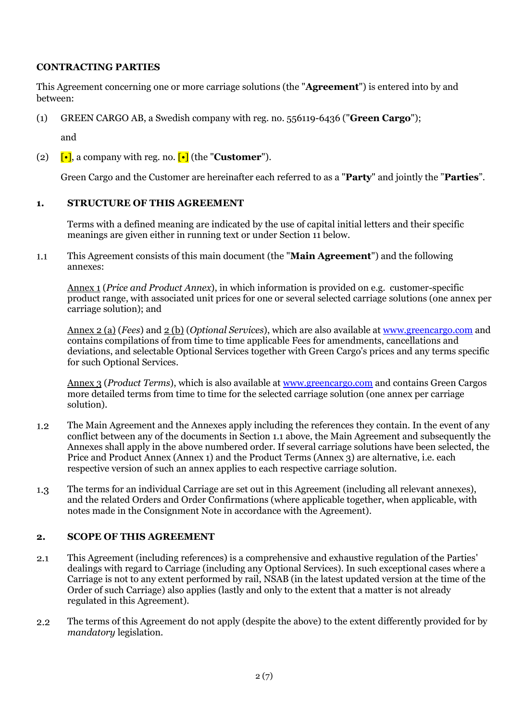# **CONTRACTING PARTIES**

This Agreement concerning one or more carriage solutions (the "**Agreement**") is entered into by and between:

(1) GREEN CARGO AB, a Swedish company with reg. no. 556119-6436 ("**Green Cargo**");

and

(2)  $\lceil \cdot \rceil$ , a company with reg. no.  $\lceil \cdot \rceil$  (the "**Customer**").

Green Cargo and the Customer are hereinafter each referred to as a "**Party**" and jointly the "**Parties**".

#### **1. STRUCTURE OF THIS AGREEMENT**

Terms with a defined meaning are indicated by the use of capital initial letters and their specific meanings are given either in running text or under Section 11 below.

 $1.1$ This Agreement consists of this main document (the "**Main Agreement**") and the following annexes:

Annex 1 (*Price and Product Annex*), in which information is provided on e.g. customer-specific product range, with associated unit prices for one or several selected carriage solutions (one annex per carriage solution); and

Annex 2 (a) (*Fees*) and 2 (b) (*Optional Services*), which are also available at [www.greencargo.com](http://www.greencargo.com/) and contains compilations of from time to time applicable Fees for amendments, cancellations and deviations, and selectable Optional Services together with Green Cargo's prices and any terms specific for such Optional Services.

Annex 3 (*Product Terms*), which is also available at [www.greencargo.com](http://www.greencargo.com/) and contains Green Cargos more detailed terms from time to time for the selected carriage solution (one annex per carriage solution).

- $1.2$ The Main Agreement and the Annexes apply including the references they contain. In the event of any conflict between any of the documents in Section 1.1 above, the Main Agreement and subsequently the Annexes shall apply in the above numbered order. If several carriage solutions have been selected, the Price and Product Annex (Annex 1) and the Product Terms (Annex 3) are alternative, i.e. each respective version of such an annex applies to each respective carriage solution.
- The terms for an individual Carriage are set out in this Agreement (including all relevant annexes),  $1.3$ and the related Orders and Order Confirmations (where applicable together, when applicable, with notes made in the Consignment Note in accordance with the Agreement).

#### **2. SCOPE OF THIS AGREEMENT**

- This Agreement (including references) is a comprehensive and exhaustive regulation of the Parties'  $2.1$ dealings with regard to Carriage (including any Optional Services). In such exceptional cases where a Carriage is not to any extent performed by rail, NSAB (in the latest updated version at the time of the Order of such Carriage) also applies (lastly and only to the extent that a matter is not already regulated in this Agreement).
- $2,2$ The terms of this Agreement do not apply (despite the above) to the extent differently provided for by *mandatory* legislation.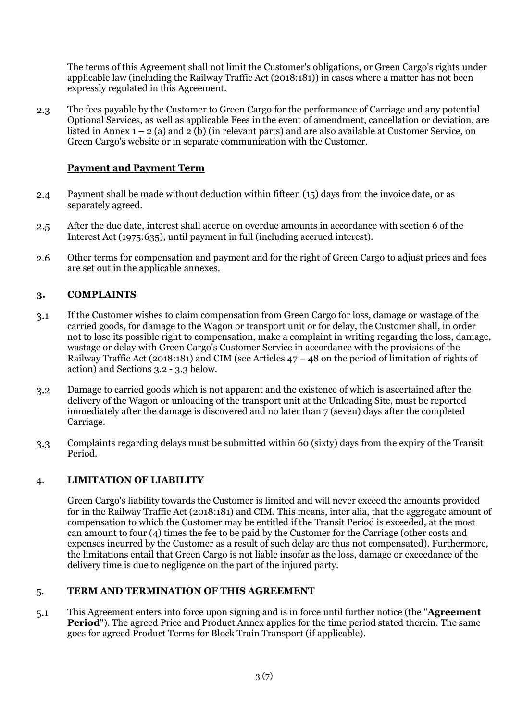The terms of this Agreement shall not limit the Customer's obligations, or Green Cargo's rights under applicable law (including the Railway Traffic Act (2018:181)) in cases where a matter has not been expressly regulated in this Agreement.

The fees payable by the Customer to Green Cargo for the performance of Carriage and any potential  $2.3$ Optional Services, as well as applicable Fees in the event of amendment, cancellation or deviation, are listed in Annex  $1 - 2$  (a) and  $2\overline{b}$ ) (in relevant parts) and are also available at Customer Service, on Green Cargo's website or in separate communication with the Customer.

# **Payment and Payment Term**

- Payment shall be made without deduction within fifteen (15) days from the invoice date, or as  $2.4$ separately agreed.
- After the due date, interest shall accrue on overdue amounts in accordance with section 6 of the  $2.5$ Interest Act (1975:635), until payment in full (including accrued interest).
- $2.6$ Other terms for compensation and payment and for the right of Green Cargo to adjust prices and fees are set out in the applicable annexes.

# **3. COMPLAINTS**

- If the Customer wishes to claim compensation from Green Cargo for loss, damage or wastage of the  $3.1$ carried goods, for damage to the Wagon or transport unit or for delay, the Customer shall, in order not to lose its possible right to compensation, make a complaint in writing regarding the loss, damage, wastage or delay with Green Cargo's Customer Service in accordance with the provisions of the Railway Traffic Act (2018:181) and CIM (see Articles 47 – 48 on the period of limitation of rights of action) and Sections 3.2 - 3.3 below.
- Damage to carried goods which is not apparent and the existence of which is ascertained after the  $3.2$ delivery of the Wagon or unloading of the transport unit at the Unloading Site, must be reported immediately after the damage is discovered and no later than 7 (seven) days after the completed Carriage.
- Complaints regarding delays must be submitted within 60 (sixty) days from the expiry of the Transit  $3.3$ Period.

#### 4. **LIMITATION OF LIABILITY**

Green Cargo's liability towards the Customer is limited and will never exceed the amounts provided for in the Railway Traffic Act (2018:181) and CIM. This means, inter alia, that the aggregate amount of compensation to which the Customer may be entitled if the Transit Period is exceeded, at the most can amount to four (4) times the fee to be paid by the Customer for the Carriage (other costs and expenses incurred by the Customer as a result of such delay are thus not compensated). Furthermore, the limitations entail that Green Cargo is not liable insofar as the loss, damage or exceedance of the delivery time is due to negligence on the part of the injured party.

#### 5. **TERM AND TERMINATION OF THIS AGREEMENT**

This Agreement enters into force upon signing and is in force until further notice (the "**Agreement**   $5.1$ **Period**"). The agreed Price and Product Annex applies for the time period stated therein. The same goes for agreed Product Terms for Block Train Transport (if applicable).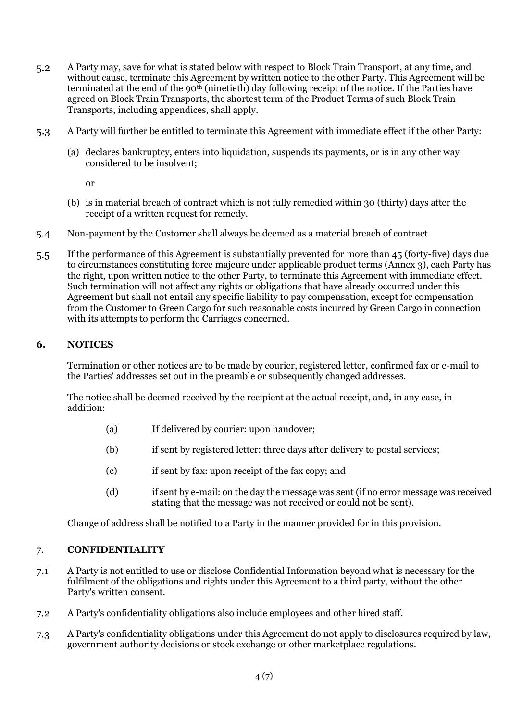- A Party may, save for what is stated below with respect to Block Train Transport, at any time, and  $5.2$ without cause, terminate this Agreement by written notice to the other Party. This Agreement will be terminated at the end of the 90<sup>th</sup> (ninetieth) day following receipt of the notice. If the Parties have agreed on Block Train Transports, the shortest term of the Product Terms of such Block Train Transports, including appendices, shall apply.
- A Party will further be entitled to terminate this Agreement with immediate effect if the other Party:  $5.3$ 
	- (a) declares bankruptcy, enters into liquidation, suspends its payments, or is in any other way considered to be insolvent;
		- or
	- (b) is in material breach of contract which is not fully remedied within 30 (thirty) days after the receipt of a written request for remedy.
- Non-payment by the Customer shall always be deemed as a material breach of contract.  $5.4$
- If the performance of this Agreement is substantially prevented for more than 45 (forty-five) days due  $5.5$ to circumstances constituting force majeure under applicable product terms (Annex 3), each Party has the right, upon written notice to the other Party, to terminate this Agreement with immediate effect. Such termination will not affect any rights or obligations that have already occurred under this Agreement but shall not entail any specific liability to pay compensation, except for compensation from the Customer to Green Cargo for such reasonable costs incurred by Green Cargo in connection with its attempts to perform the Carriages concerned.

#### **6. NOTICES**

Termination or other notices are to be made by courier, registered letter, confirmed fax or e-mail to the Parties' addresses set out in the preamble or subsequently changed addresses.

The notice shall be deemed received by the recipient at the actual receipt, and, in any case, in addition:

- (a) If delivered by courier: upon handover;
- (b) if sent by registered letter: three days after delivery to postal services;
- (c) if sent by fax: upon receipt of the fax copy; and
- (d) if sent by e-mail: on the day the message was sent (if no error message was received stating that the message was not received or could not be sent).

Change of address shall be notified to a Party in the manner provided for in this provision.

#### 7. **CONFIDENTIALITY**

- A Party is not entitled to use or disclose Confidential Information beyond what is necessary for the  $7.1$ fulfilment of the obligations and rights under this Agreement to a third party, without the other Party's written consent.
- A Party's confidentiality obligations also include employees and other hired staff.  $7.2$
- A Party's confidentiality obligations under this Agreement do not apply to disclosures required by law,  $7.3$ government authority decisions or stock exchange or other marketplace regulations.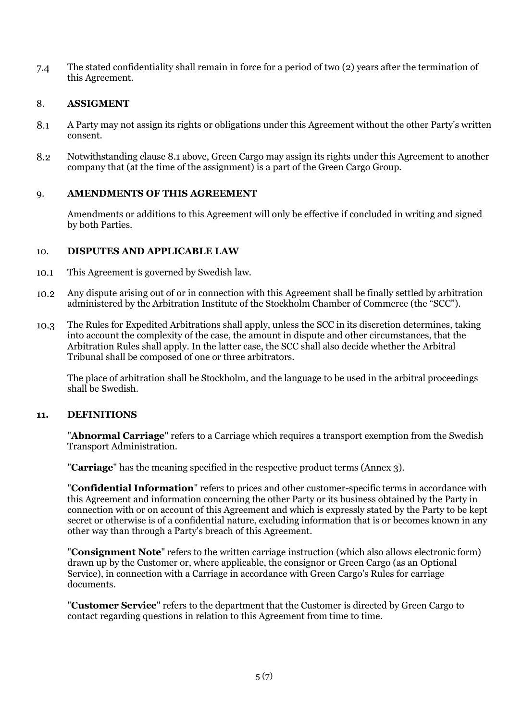$7.4$ The stated confidentiality shall remain in force for a period of two (2) years after the termination of this Agreement.

### 8. **ASSIGMENT**

- 8.1 A Party may not assign its rights or obligations under this Agreement without the other Party's written consent.
- 8.2 Notwithstanding clause 8.1 above, Green Cargo may assign its rights under this Agreement to another company that (at the time of the assignment) is a part of the Green Cargo Group.

# 9. **AMENDMENTS OF THIS AGREEMENT**

Amendments or additions to this Agreement will only be effective if concluded in writing and signed by both Parties.

#### 10. **DISPUTES AND APPLICABLE LAW**

- This Agreement is governed by Swedish law. 10.1
- Any dispute arising out of or in connection with this Agreement shall be finally settled by arbitration 10.2 administered by the Arbitration Institute of the Stockholm Chamber of Commerce (the "SCC").
- $10.3$ The Rules for Expedited Arbitrations shall apply, unless the SCC in its discretion determines, taking into account the complexity of the case, the amount in dispute and other circumstances, that the Arbitration Rules shall apply. In the latter case, the SCC shall also decide whether the Arbitral Tribunal shall be composed of one or three arbitrators.

The place of arbitration shall be Stockholm, and the language to be used in the arbitral proceedings shall be Swedish.

#### **11. DEFINITIONS**

"**Abnormal Carriage**" refers to a Carriage which requires a transport exemption from the Swedish Transport Administration.

"**Carriage**" has the meaning specified in the respective product terms (Annex 3).

"**Confidential Information**" refers to prices and other customer-specific terms in accordance with this Agreement and information concerning the other Party or its business obtained by the Party in connection with or on account of this Agreement and which is expressly stated by the Party to be kept secret or otherwise is of a confidential nature, excluding information that is or becomes known in any other way than through a Party's breach of this Agreement.

"**Consignment Note**" refers to the written carriage instruction (which also allows electronic form) drawn up by the Customer or, where applicable, the consignor or Green Cargo (as an Optional Service), in connection with a Carriage in accordance with Green Cargo's Rules for carriage documents.

"**Customer Service**" refers to the department that the Customer is directed by Green Cargo to contact regarding questions in relation to this Agreement from time to time.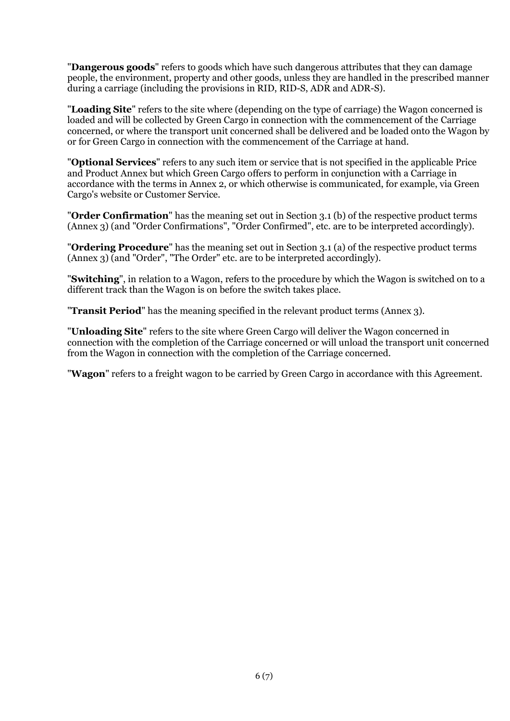"**Dangerous goods**" refers to goods which have such dangerous attributes that they can damage people, the environment, property and other goods, unless they are handled in the prescribed manner during a carriage (including the provisions in RID, RID-S, ADR and ADR-S).

"**Loading Site**" refers to the site where (depending on the type of carriage) the Wagon concerned is loaded and will be collected by Green Cargo in connection with the commencement of the Carriage concerned, or where the transport unit concerned shall be delivered and be loaded onto the Wagon by or for Green Cargo in connection with the commencement of the Carriage at hand.

"**Optional Services**" refers to any such item or service that is not specified in the applicable Price and Product Annex but which Green Cargo offers to perform in conjunction with a Carriage in accordance with the terms in Annex 2, or which otherwise is communicated, for example, via Green Cargo's website or Customer Service.

"**Order Confirmation**" has the meaning set out in Section 3.1 (b) of the respective product terms (Annex 3) (and "Order Confirmations", "Order Confirmed", etc. are to be interpreted accordingly).

"**Ordering Procedure**" has the meaning set out in Section 3.1 (a) of the respective product terms (Annex 3) (and "Order", "The Order" etc. are to be interpreted accordingly).

"**Switching**", in relation to a Wagon, refers to the procedure by which the Wagon is switched on to a different track than the Wagon is on before the switch takes place.

"**Transit Period**" has the meaning specified in the relevant product terms (Annex 3).

"**Unloading Site**" refers to the site where Green Cargo will deliver the Wagon concerned in connection with the completion of the Carriage concerned or will unload the transport unit concerned from the Wagon in connection with the completion of the Carriage concerned.

"**Wagon**" refers to a freight wagon to be carried by Green Cargo in accordance with this Agreement.